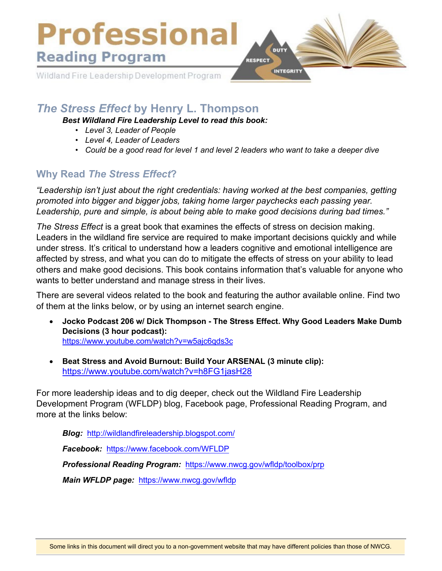

# *The Stress Effect* **by Henry L. Thompson**

*Best Wildland Fire Leadership Level to read this book:* 

- *Level 3, Leader of People*
- *• Level 4, Leader of Leaders*
- *• Could be a good read for level 1 and level 2 leaders who want to take a deeper dive*

### **Why Read** *The Stress Effect***?**

*"Leadership isn't just about the right credentials: having worked at the best companies, getting promoted into bigger and bigger jobs, taking home larger paychecks each passing year. Leadership, pure and simple, is about being able to make good decisions during bad times."* 

*The Stress Effect* is a great book that examines the effects of stress on decision making. Leaders in the wildland fire service are required to make important decisions quickly and while under stress. It's critical to understand how a leaders cognitive and emotional intelligence are affected by stress, and what you can do to mitigate the effects of stress on your ability to lead others and make good decisions. This book contains information that's valuable for anyone who wants to better understand and manage stress in their lives.

There are several videos related to the book and featuring the author available online. Find two of them at the links below, or by using an internet search engine.

- **Jocko Podcast 206 w/ Dick Thompson The Stress Effect. Why Good Leaders Make Dumb Decisions (3 hour podcast):** <https://www.youtube.com/watch?v=w5ajc6qds3c>
- **Beat Stress and Avoid Burnout: Build Your ARSENAL (3 minute clip):** <https://www.youtube.com/watch?v=h8FG1jasH28>

For more leadership ideas and to dig deeper, check out the Wildland Fire Leadership Development Program (WFLDP) blog, Facebook page, Professional Reading Program, and more at the links below:

*Blog:* <http://wildlandfireleadership.blogspot.com/>

*Facebook:* <https://www.facebook.com/WFLDP>

*Professional Reading Program:* <https://www.nwcg.gov/wfldp/toolbox/prp>

*Main WFLDP page:* [https://www.](https://www.nwcg.gov/wfldp)nwcg.gov/wfldp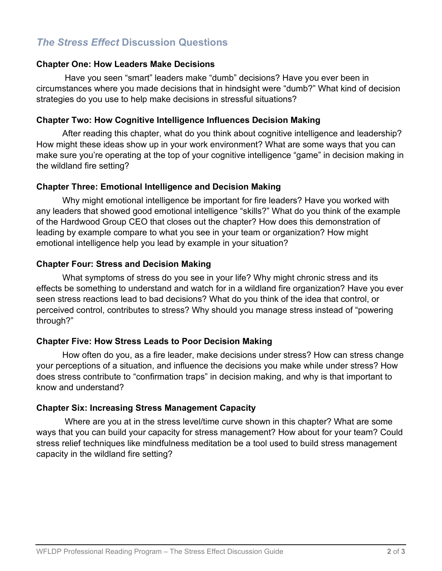## *The Stress Effect* **Discussion Questions**

#### **Chapter One: How Leaders Make Decisions**

Have you seen "smart" leaders make "dumb" decisions? Have you ever been in circumstances where you made decisions that in hindsight were "dumb?" What kind of decision strategies do you use to help make decisions in stressful situations?

#### **Chapter Two: How Cognitive Intelligence Influences Decision Making**

After reading this chapter, what do you think about cognitive intelligence and leadership? How might these ideas show up in your work environment? What are some ways that you can make sure you're operating at the top of your cognitive intelligence "game" in decision making in the wildland fire setting?

#### **Chapter Three: Emotional Intelligence and Decision Making**

Why might emotional intelligence be important for fire leaders? Have you worked with any leaders that showed good emotional intelligence "skills?" What do you think of the example of the Hardwood Group CEO that closes out the chapter? How does this demonstration of leading by example compare to what you see in your team or organization? How might emotional intelligence help you lead by example in your situation?

#### **Chapter Four: Stress and Decision Making**

What symptoms of stress do you see in your life? Why might chronic stress and its effects be something to understand and watch for in a wildland fire organization? Have you ever seen stress reactions lead to bad decisions? What do you think of the idea that control, or perceived control, contributes to stress? Why should you manage stress instead of "powering through?"

#### **Chapter Five: How Stress Leads to Poor Decision Making**

How often do you, as a fire leader, make decisions under stress? How can stress change your perceptions of a situation, and influence the decisions you make while under stress? How does stress contribute to "confirmation traps" in decision making, and why is that important to know and understand?

#### **Chapter Six: Increasing Stress Management Capacity**

Where are you at in the stress level/time curve shown in this chapter? What are some ways that you can build your capacity for stress management? How about for your team? Could stress relief techniques like mindfulness meditation be a tool used to build stress management capacity in the wildland fire setting?